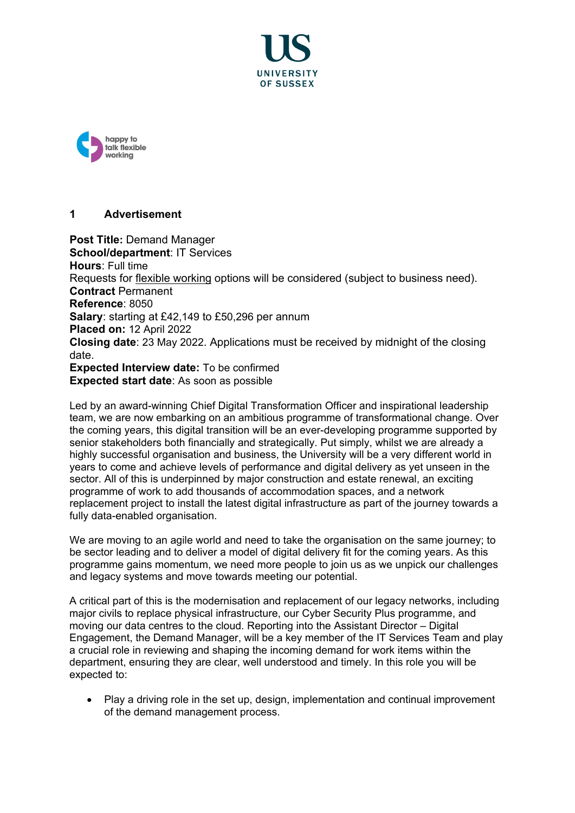



# **1 Advertisement**

**Post Title:** Demand Manager **School/department**: IT Services **Hours**: Full time Requests for [flexible working](http://www.sussex.ac.uk/humanresources/personnel/flexible-working) options will be considered (subject to business need). **Contract** Permanent **Reference**: 8050 **Salary**: starting at £42,149 to £50,296 per annum **Placed on:** 12 April 2022 **Closing date**: 23 May 2022. Applications must be received by midnight of the closing date. **Expected Interview date:** To be confirmed **Expected start date**: As soon as possible

Led by an award-winning Chief Digital Transformation Officer and inspirational leadership team, we are now embarking on an ambitious programme of transformational change. Over the coming years, this digital transition will be an ever-developing programme supported by senior stakeholders both financially and strategically. Put simply, whilst we are already a highly successful organisation and business, the University will be a very different world in years to come and achieve levels of performance and digital delivery as yet unseen in the sector. All of this is underpinned by major construction and estate renewal, an exciting programme of work to add thousands of accommodation spaces, and a network replacement project to install the latest digital infrastructure as part of the journey towards a fully data-enabled organisation.

We are moving to an agile world and need to take the organisation on the same journey; to be sector leading and to deliver a model of digital delivery fit for the coming years. As this programme gains momentum, we need more people to join us as we unpick our challenges and legacy systems and move towards meeting our potential.

A critical part of this is the modernisation and replacement of our legacy networks, including major civils to replace physical infrastructure, our Cyber Security Plus programme, and moving our data centres to the cloud. Reporting into the Assistant Director – Digital Engagement, the Demand Manager, will be a key member of the IT Services Team and play a crucial role in reviewing and shaping the incoming demand for work items within the department, ensuring they are clear, well understood and timely. In this role you will be expected to:

• Play a driving role in the set up, design, implementation and continual improvement of the demand management process.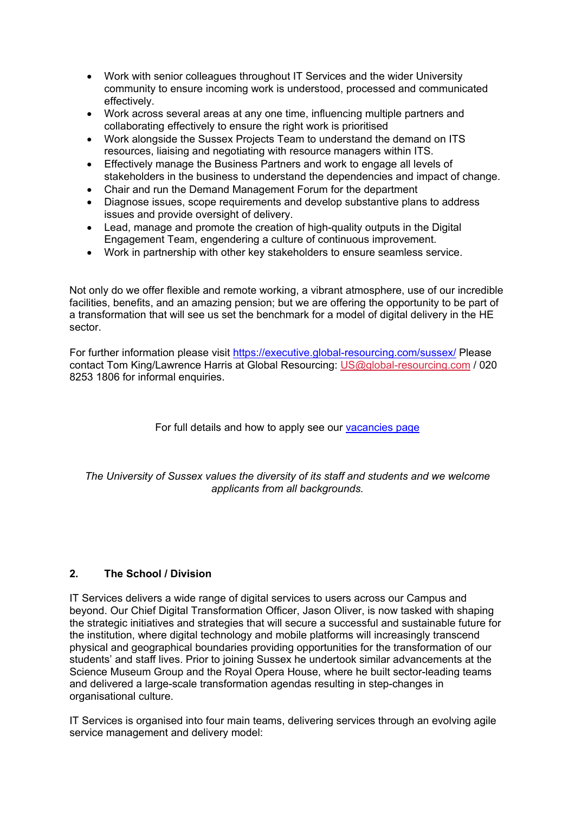- Work with senior colleagues throughout IT Services and the wider University community to ensure incoming work is understood, processed and communicated effectively.
- Work across several areas at any one time, influencing multiple partners and collaborating effectively to ensure the right work is prioritised
- Work alongside the Sussex Projects Team to understand the demand on ITS resources, liaising and negotiating with resource managers within ITS.
- Effectively manage the Business Partners and work to engage all levels of stakeholders in the business to understand the dependencies and impact of change.
- Chair and run the Demand Management Forum for the department<br>• Diagnose issues, scope requirements and develop substantive plan
- Diagnose issues, scope requirements and develop substantive plans to address issues and provide oversight of delivery.
- Lead, manage and promote the creation of high-quality outputs in the Digital Engagement Team, engendering a culture of continuous improvement.
- Work in partnership with other key stakeholders to ensure seamless service.

Not only do we offer flexible and remote working, a vibrant atmosphere, use of our incredible facilities, benefits, and an amazing pension; but we are offering the opportunity to be part of a transformation that will see us set the benchmark for a model of digital delivery in the HE sector.

For further information please visit<https://executive.global-resourcing.com/sussex/> Please contact Tom King/Lawrence Harris at Global Resourcing: [US@global-resourcing.com](mailto:US@global-resourcing.com) / 020 8253 1806 for informal enquiries.

# For full details and how to apply see our [vacancies page](http://www.sussex.ac.uk/about/jobs)

*The University of Sussex values the diversity of its staff and students and we welcome applicants from all backgrounds.*

## **2. The School / Division**

IT Services delivers a wide range of digital services to users across our Campus and beyond. Our Chief Digital Transformation Officer, Jason Oliver, is now tasked with shaping the strategic initiatives and strategies that will secure a successful and sustainable future for the institution, where digital technology and mobile platforms will increasingly transcend physical and geographical boundaries providing opportunities for the transformation of our students' and staff lives. Prior to joining Sussex he undertook similar advancements at the Science Museum Group and the Royal Opera House, where he built sector-leading teams and delivered a large-scale transformation agendas resulting in step-changes in organisational culture.

IT Services is organised into four main teams, delivering services through an evolving agile service management and delivery model: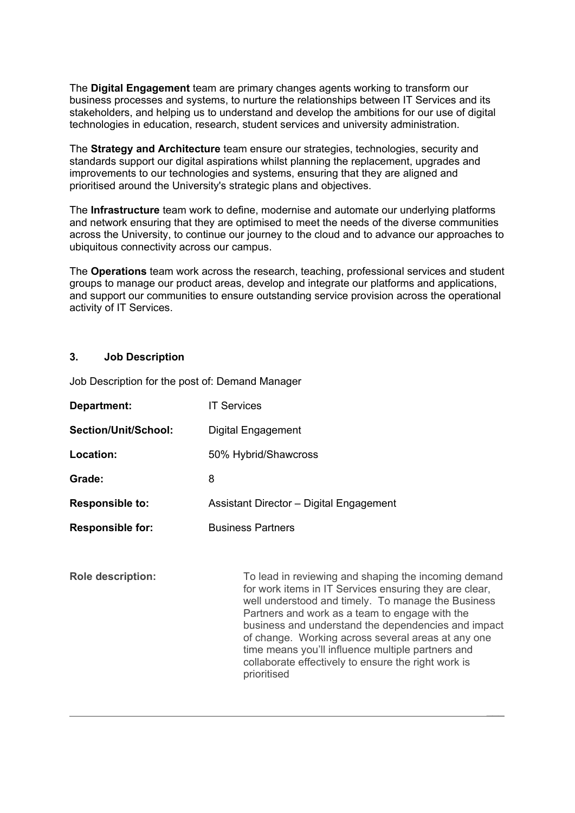The **Digital Engagement** team are primary changes agents working to transform our business processes and systems, to nurture the relationships between IT Services and its stakeholders, and helping us to understand and develop the ambitions for our use of digital technologies in education, research, student services and university administration.

The **Strategy and Architecture** team ensure our strategies, technologies, security and standards support our digital aspirations whilst planning the replacement, upgrades and improvements to our technologies and systems, ensuring that they are aligned and prioritised around the University's strategic plans and objectives.

The **Infrastructure** team work to define, modernise and automate our underlying platforms and network ensuring that they are optimised to meet the needs of the diverse communities across the University, to continue our journey to the cloud and to advance our approaches to ubiquitous connectivity across our campus.

The **Operations** team work across the research, teaching, professional services and student groups to manage our product areas, develop and integrate our platforms and applications, and support our communities to ensure outstanding service provision across the operational activity of IT Services.

# **3. Job Description**

Job Description for the post of: Demand Manager

| Department:              | <b>IT Services</b>                                                                                                                                                                                                                                                                                                                                                                                                                                             |
|--------------------------|----------------------------------------------------------------------------------------------------------------------------------------------------------------------------------------------------------------------------------------------------------------------------------------------------------------------------------------------------------------------------------------------------------------------------------------------------------------|
| Section/Unit/School:     | Digital Engagement                                                                                                                                                                                                                                                                                                                                                                                                                                             |
| Location:                | 50% Hybrid/Shawcross                                                                                                                                                                                                                                                                                                                                                                                                                                           |
| Grade:                   | 8                                                                                                                                                                                                                                                                                                                                                                                                                                                              |
| <b>Responsible to:</b>   | Assistant Director - Digital Engagement                                                                                                                                                                                                                                                                                                                                                                                                                        |
| <b>Responsible for:</b>  | <b>Business Partners</b>                                                                                                                                                                                                                                                                                                                                                                                                                                       |
| <b>Role description:</b> | To lead in reviewing and shaping the incoming demand<br>for work items in IT Services ensuring they are clear,<br>well understood and timely. To manage the Business<br>Partners and work as a team to engage with the<br>business and understand the dependencies and impact<br>of change. Working across several areas at any one<br>time means you'll influence multiple partners and<br>collaborate effectively to ensure the right work is<br>prioritised |

 $\mathcal{L}=\mathcal{L}=\mathcal{L}=\mathcal{L}=\mathcal{L}=\mathcal{L}=\mathcal{L}=\mathcal{L}=\mathcal{L}=\mathcal{L}=\mathcal{L}=\mathcal{L}=\mathcal{L}=\mathcal{L}=\mathcal{L}=\mathcal{L}=\mathcal{L}=\mathcal{L}=\mathcal{L}=\mathcal{L}=\mathcal{L}=\mathcal{L}=\mathcal{L}=\mathcal{L}=\mathcal{L}=\mathcal{L}=\mathcal{L}=\mathcal{L}=\mathcal{L}=\mathcal{L}=\mathcal{L}=\mathcal{L}=\mathcal{L}=\mathcal{L}=\mathcal{L}=\mathcal{L}=\mathcal{$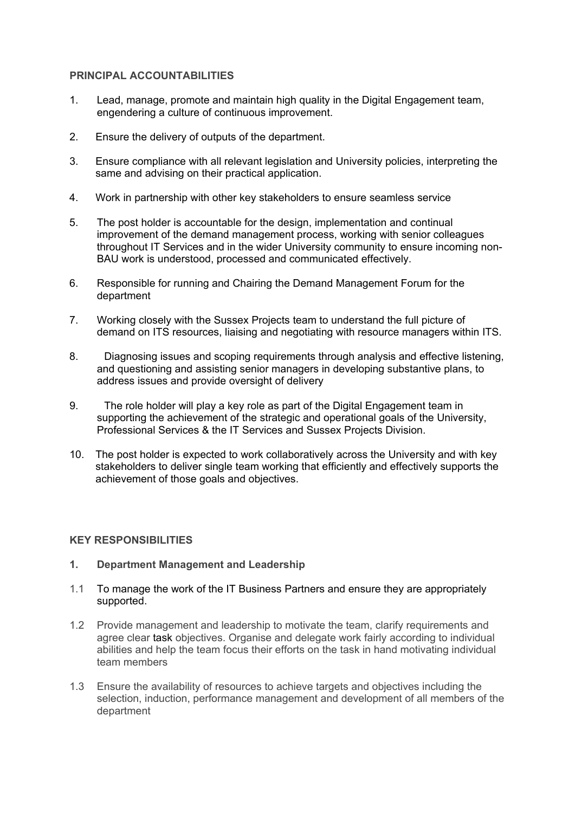### **PRINCIPAL ACCOUNTABILITIES**

- 1. Lead, manage, promote and maintain high quality in the Digital Engagement team, engendering a culture of continuous improvement.
- 2. Ensure the delivery of outputs of the department.
- 3. Ensure compliance with all relevant legislation and University policies, interpreting the same and advising on their practical application.
- 4. Work in partnership with other key stakeholders to ensure seamless service
- 5. The post holder is accountable for the design, implementation and continual improvement of the demand management process, working with senior colleagues throughout IT Services and in the wider University community to ensure incoming non-BAU work is understood, processed and communicated effectively.
- 6. Responsible for running and Chairing the Demand Management Forum for the department
- 7. Working closely with the Sussex Projects team to understand the full picture of demand on ITS resources, liaising and negotiating with resource managers within ITS.
- 8. Diagnosing issues and scoping requirements through analysis and effective listening, and questioning and assisting senior managers in developing substantive plans, to address issues and provide oversight of delivery
- 9. The role holder will play a key role as part of the Digital Engagement team in supporting the achievement of the strategic and operational goals of the University, Professional Services & the IT Services and Sussex Projects Division.
- 10. The post holder is expected to work collaboratively across the University and with key stakeholders to deliver single team working that efficiently and effectively supports the achievement of those goals and objectives.

## **KEY RESPONSIBILITIES**

- **1. Department Management and Leadership**
- 1.1 To manage the work of the IT Business Partners and ensure they are appropriately supported.
- 1.2 Provide management and leadership to motivate the team, clarify requirements and agree clear task objectives. Organise and delegate work fairly according to individual abilities and help the team focus their efforts on the task in hand motivating individual team members
- 1.3 Ensure the availability of resources to achieve targets and objectives including the selection, induction, performance management and development of all members of the department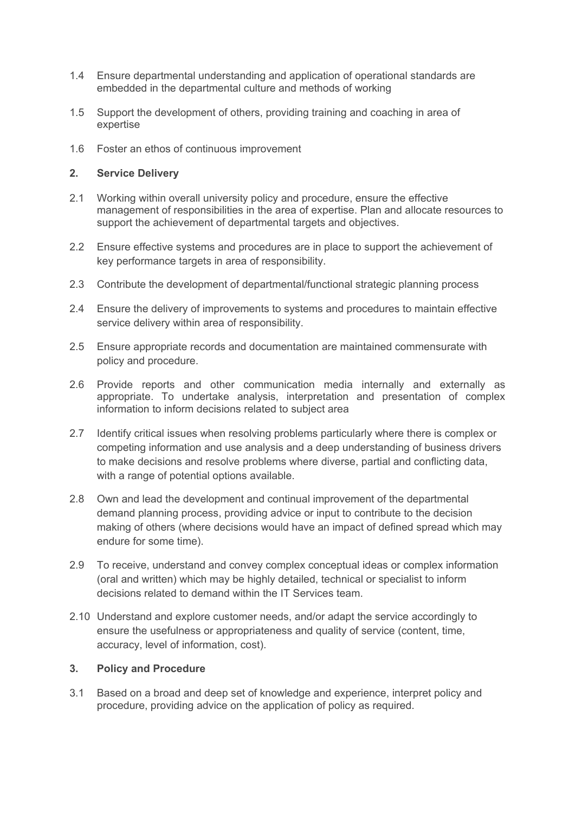- 1.4 Ensure departmental understanding and application of operational standards are embedded in the departmental culture and methods of working
- 1.5 Support the development of others, providing training and coaching in area of expertise
- 1.6 Foster an ethos of continuous improvement

### **2. Service Delivery**

- 2.1 Working within overall university policy and procedure, ensure the effective management of responsibilities in the area of expertise. Plan and allocate resources to support the achievement of departmental targets and objectives.
- 2.2 Ensure effective systems and procedures are in place to support the achievement of key performance targets in area of responsibility.
- 2.3 Contribute the development of departmental/functional strategic planning process
- 2.4 Ensure the delivery of improvements to systems and procedures to maintain effective service delivery within area of responsibility.
- 2.5 Ensure appropriate records and documentation are maintained commensurate with policy and procedure.
- 2.6 Provide reports and other communication media internally and externally as appropriate. To undertake analysis, interpretation and presentation of complex information to inform decisions related to subject area
- 2.7 Identify critical issues when resolving problems particularly where there is complex or competing information and use analysis and a deep understanding of business drivers to make decisions and resolve problems where diverse, partial and conflicting data, with a range of potential options available.
- 2.8 Own and lead the development and continual improvement of the departmental demand planning process, providing advice or input to contribute to the decision making of others (where decisions would have an impact of defined spread which may endure for some time).
- 2.9 To receive, understand and convey complex conceptual ideas or complex information (oral and written) which may be highly detailed, technical or specialist to inform decisions related to demand within the IT Services team.
- 2.10 Understand and explore customer needs, and/or adapt the service accordingly to ensure the usefulness or appropriateness and quality of service (content, time, accuracy, level of information, cost).

## **3. Policy and Procedure**

3.1 Based on a broad and deep set of knowledge and experience, interpret policy and procedure, providing advice on the application of policy as required.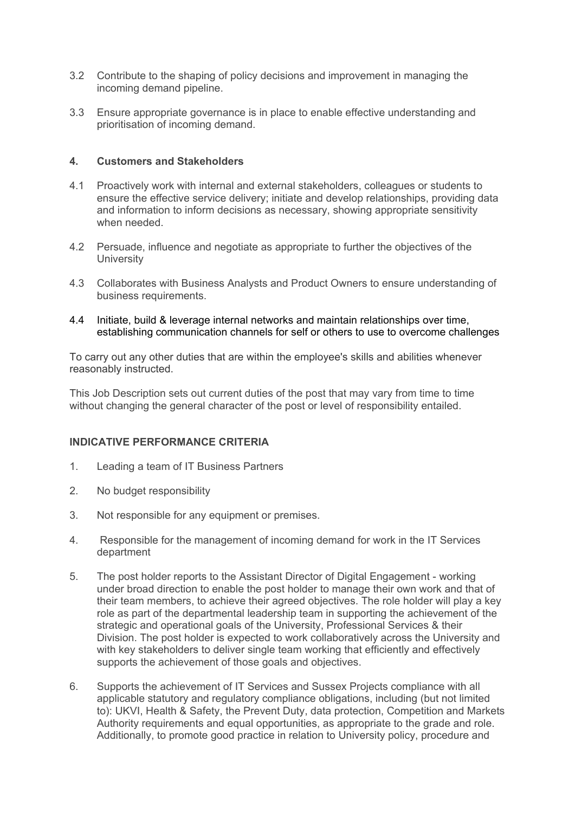- 3.2 Contribute to the shaping of policy decisions and improvement in managing the incoming demand pipeline.
- 3.3 Ensure appropriate governance is in place to enable effective understanding and prioritisation of incoming demand.

### **4. Customers and Stakeholders**

- 4.1 Proactively work with internal and external stakeholders, colleagues or students to ensure the effective service delivery; initiate and develop relationships, providing data and information to inform decisions as necessary, showing appropriate sensitivity when needed.
- 4.2 Persuade, influence and negotiate as appropriate to further the objectives of the **University**
- 4.3 Collaborates with Business Analysts and Product Owners to ensure understanding of business requirements.
- 4.4 Initiate, build & leverage internal networks and maintain relationships over time, establishing communication channels for self or others to use to overcome challenges

To carry out any other duties that are within the employee's skills and abilities whenever reasonably instructed.

This Job Description sets out current duties of the post that may vary from time to time without changing the general character of the post or level of responsibility entailed.

#### **INDICATIVE PERFORMANCE CRITERIA**

- 1. Leading a team of IT Business Partners
- 2. No budget responsibility
- 3. Not responsible for any equipment or premises.
- 4. Responsible for the management of incoming demand for work in the IT Services department
- 5. The post holder reports to the Assistant Director of Digital Engagement working under broad direction to enable the post holder to manage their own work and that of their team members, to achieve their agreed objectives. The role holder will play a key role as part of the departmental leadership team in supporting the achievement of the strategic and operational goals of the University, Professional Services & their Division. The post holder is expected to work collaboratively across the University and with key stakeholders to deliver single team working that efficiently and effectively supports the achievement of those goals and objectives.
- 6. Supports the achievement of IT Services and Sussex Projects compliance with all applicable statutory and regulatory compliance obligations, including (but not limited to): UKVI, Health & Safety, the Prevent Duty, data protection, Competition and Markets Authority requirements and equal opportunities, as appropriate to the grade and role. Additionally, to promote good practice in relation to University policy, procedure and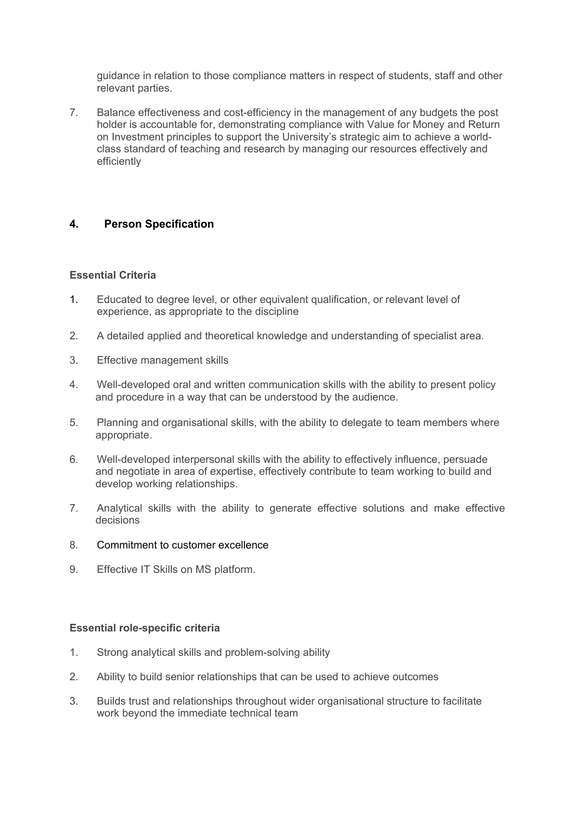guidance in relation to those compliance matters in respect of students, staff and other relevant parties.

7. Balance effectiveness and cost-efficiency in the management of any budgets the post holder is accountable for, demonstrating compliance with Value for Money and Return on Investment principles to support the University's strategic aim to achieve a worldclass standard of teaching and research by managing our resources effectively and efficiently

## **4. Person Specification**

#### **Essential Criteria**

- 1. Educated to degree level, or other equivalent qualification, or relevant level of experience, as appropriate to the discipline
- 2. A detailed applied and theoretical knowledge and understanding of specialist area.
- 3. Effective management skills
- 4. Well-developed oral and written communication skills with the ability to present policy and procedure in a way that can be understood by the audience.
- 5. Planning and organisational skills, with the ability to delegate to team members where appropriate.
- 6. Well-developed interpersonal skills with the ability to effectively influence, persuade and negotiate in area of expertise, effectively contribute to team working to build and develop working relationships.
- 7. Analytical skills with the ability to generate effective solutions and make effective decisions
- 8. Commitment to customer excellence
- 9. Effective IT Skills on MS platform.

#### **Essential role-specific criteria**

- 1. Strong analytical skills and problem-solving ability
- 2. Ability to build senior relationships that can be used to achieve outcomes
- 3. Builds trust and relationships throughout wider organisational structure to facilitate work beyond the immediate technical team